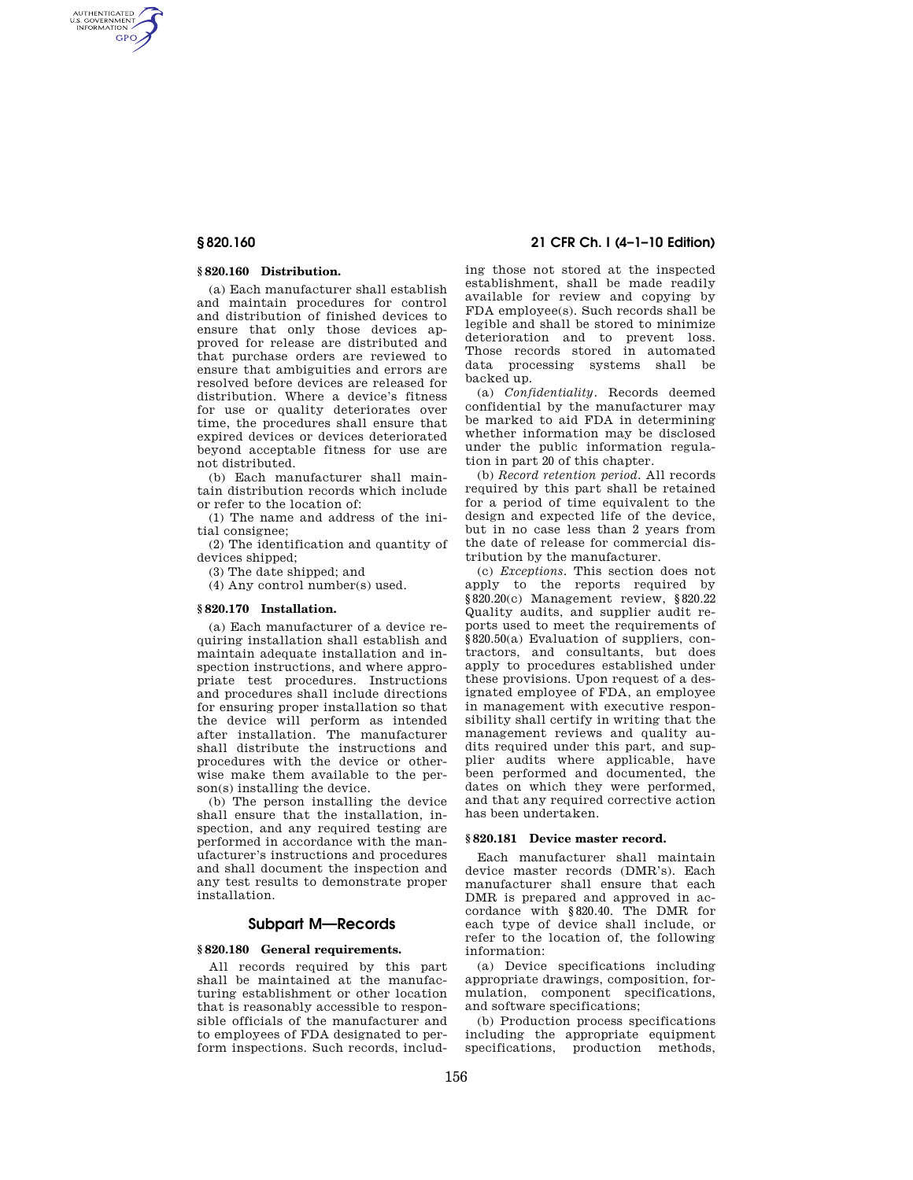AUTHENTICATED<br>U.S. GOVERNMENT<br>INFORMATION **GPO** 

#### **§ 820.160 Distribution.**

(a) Each manufacturer shall establish and maintain procedures for control and distribution of finished devices to ensure that only those devices approved for release are distributed and that purchase orders are reviewed to ensure that ambiguities and errors are resolved before devices are released for distribution. Where a device's fitness for use or quality deteriorates over time, the procedures shall ensure that expired devices or devices deteriorated beyond acceptable fitness for use are not distributed.

(b) Each manufacturer shall maintain distribution records which include or refer to the location of:

(1) The name and address of the initial consignee;

(2) The identification and quantity of devices shipped;

(3) The date shipped; and

(4) Any control number(s) used.

### **§ 820.170 Installation.**

(a) Each manufacturer of a device requiring installation shall establish and maintain adequate installation and inspection instructions, and where appropriate test procedures. Instructions and procedures shall include directions for ensuring proper installation so that the device will perform as intended after installation. The manufacturer shall distribute the instructions and procedures with the device or otherwise make them available to the person(s) installing the device.

(b) The person installing the device shall ensure that the installation, inspection, and any required testing are performed in accordance with the manufacturer's instructions and procedures and shall document the inspection and any test results to demonstrate proper installation.

# **Subpart M—Records**

## **§ 820.180 General requirements.**

All records required by this part shall be maintained at the manufacturing establishment or other location that is reasonably accessible to responsible officials of the manufacturer and to employees of FDA designated to perform inspections. Such records, includ-

# **§ 820.160 21 CFR Ch. I (4–1–10 Edition)**

ing those not stored at the inspected establishment, shall be made readily available for review and copying by FDA employee(s). Such records shall be legible and shall be stored to minimize deterioration and to prevent loss. Those records stored in automated data processing systems shall be backed up.

(a) *Confidentiality.* Records deemed confidential by the manufacturer may be marked to aid FDA in determining whether information may be disclosed under the public information regulation in part 20 of this chapter.

(b) *Record retention period.* All records required by this part shall be retained for a period of time equivalent to the design and expected life of the device, but in no case less than 2 years from the date of release for commercial distribution by the manufacturer.

(c) *Exceptions.* This section does not apply to the reports required by §820.20(c) Management review, §820.22 Quality audits, and supplier audit reports used to meet the requirements of §820.50(a) Evaluation of suppliers, contractors, and consultants, but does apply to procedures established under these provisions. Upon request of a designated employee of FDA, an employee in management with executive responsibility shall certify in writing that the management reviews and quality audits required under this part, and supplier audits where applicable, have been performed and documented, the dates on which they were performed, and that any required corrective action has been undertaken.

#### **§ 820.181 Device master record.**

Each manufacturer shall maintain device master records (DMR's). Each manufacturer shall ensure that each DMR is prepared and approved in accordance with §820.40. The DMR for each type of device shall include, or refer to the location of, the following information:

(a) Device specifications including appropriate drawings, composition, formulation, component specifications, and software specifications;

(b) Production process specifications including the appropriate equipment specifications, production methods,